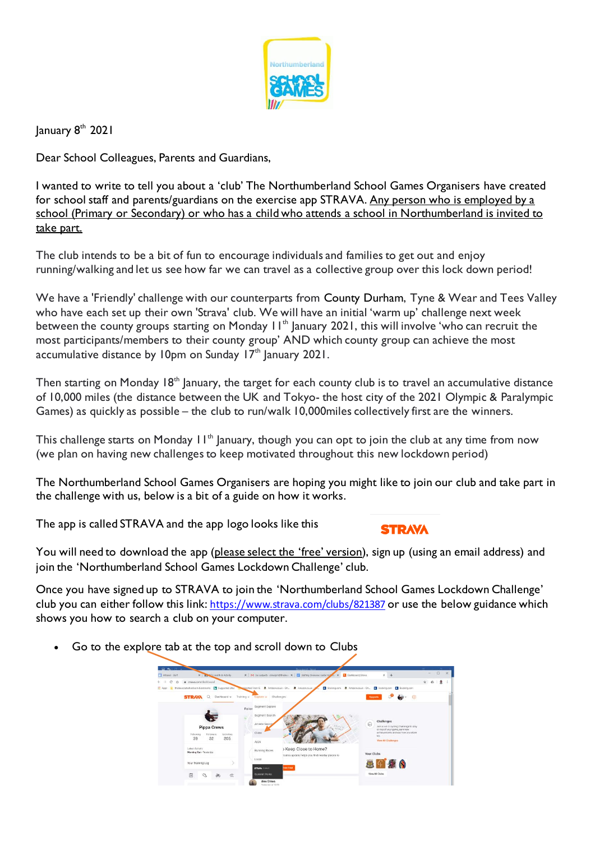

January 8<sup>th</sup> 2021

Dear School Colleagues, Parents and Guardians,

I wanted to write to tell you about a 'club' The Northumberland School Games Organisers have created for school staff and parents/guardians on the exercise app STRAVA. Any person who is employed by a school (Primary or Secondary) or who has a child who attends a school in Northumberland is invited to take part.

The club intends to be a bit of fun to encourage individuals and families to get out and enjoy running/walking and let us see how far we can travel as a collective group over this lock down period!

We have a 'Friendly' challenge with our counterparts from County Durham, Tyne & Wear and Tees Valley who have each set up their own 'Strava' club. We will have an initial 'warm up' challenge next week between the county groups starting on Monday 11<sup>th</sup> January 2021, this will involve 'who can recruit the most participants/members to their county group' AND which county group can achieve the most accumulative distance by 10pm on Sunday 17<sup>th</sup> January 2021.

Then starting on Monday  $18<sup>th</sup>$  January, the target for each county club is to travel an accumulative distance of 10,000 miles (the distance between the UK and Tokyo- the host city of the 2021 Olympic & Paralympic Games) as quickly as possible – the club to run/walk 10,000miles collectively first are the winners.

This challenge starts on Monday  $H^{\text{th}}$  January, though you can opt to join the club at any time from now (we plan on having new challengesto keep motivated throughout this new lockdown period)

The Northumberland School Games Organisers are hoping you might like to join our club and take part in the challenge with us, below is a bit of a guide on how it works.

The app is called STRAVA and the app logo looks like this

**STRAVA** 

You will need to download the app (please select the 'free' version), sign up (using an email address) and join the 'Northumberland School Games Lockdown Challenge' club.

Once you have signed up to STRAVA to join the 'Northumberland School Games Lockdown Challenge' club you can either follow this link: https://www.strava.com/clubs/821387 or use the below guidance which shows you how to search a club on your computer.

• Go to the explore tab at the top and scroll down to Clubs

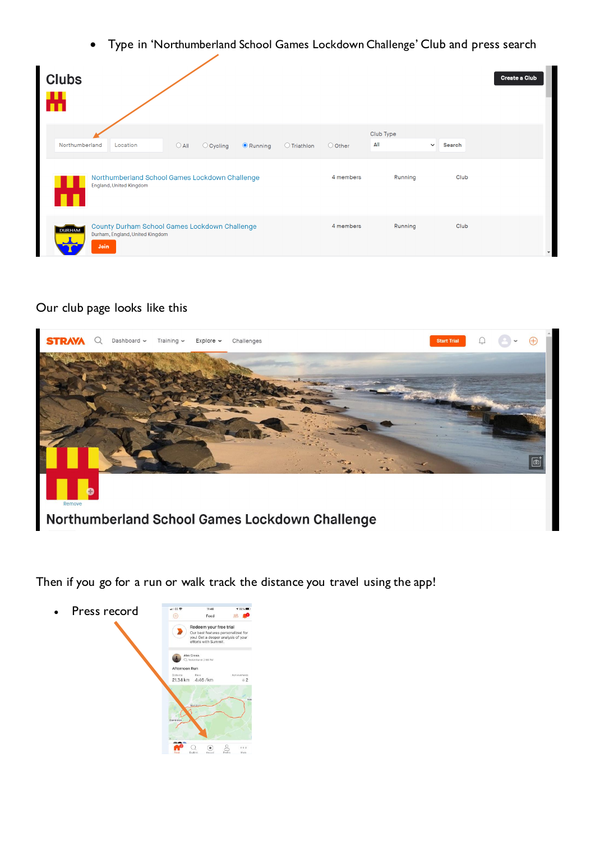• Type in 'Northumberland School Games Lockdown Challenge' Club and press search

| <b>Clubs</b><br>Ж |                                                                                          |                |                    |                 |             |           |                  |                        | <b>Create a Club</b> |
|-------------------|------------------------------------------------------------------------------------------|----------------|--------------------|-----------------|-------------|-----------|------------------|------------------------|----------------------|
| Northumberland    | Location                                                                                 | $\bigcirc$ All | $\bigcirc$ Cycling | $\odot$ Running | O Triathlon | O Other   | Club Type<br>All | $\checkmark$<br>Search |                      |
|                   | Northumberland School Games Lockdown Challenge<br>England, United Kingdom                |                |                    |                 |             |           | Running          | Club                   |                      |
| <b>DURHAM</b>     | County Durham School Games Lockdown Challenge<br>Durham, England, United Kingdom<br>Join |                |                    |                 |             | 4 members | Running          | Club                   |                      |

## Our club page looks like this



Then if you go for a run or walk track the distance you travel using the app!